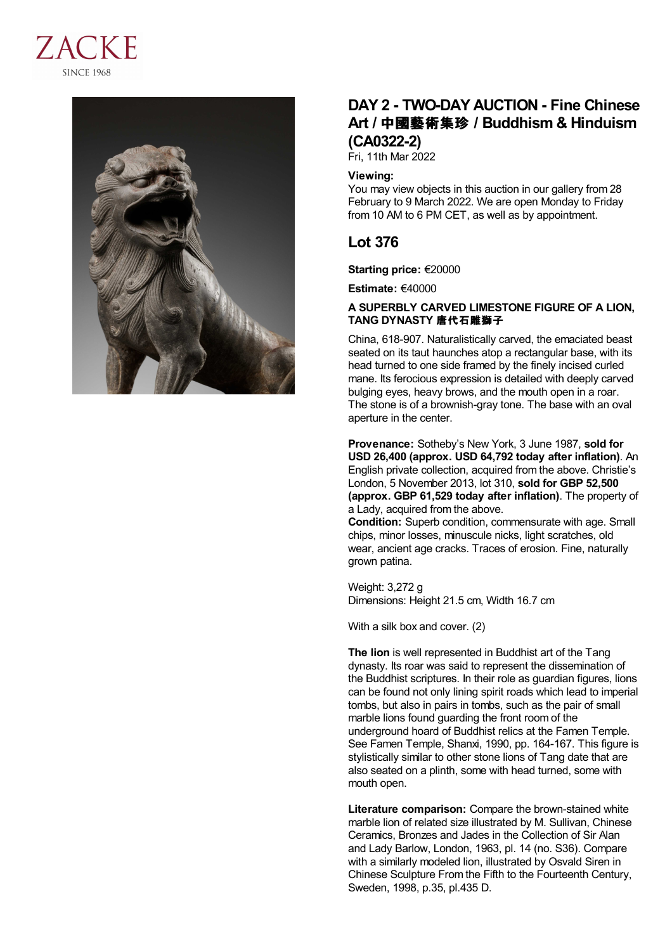



## **DAY 2 - TWO-DAY AUCTION - Fine Chinese Art /** 中國藝術集珍 **/ Buddhism & Hinduism (CA0322-2)**

Fri, 11th Mar 2022

## **Viewing:**

You may view objects in this auction in our gallery from 28 February to 9 March 2022. We are open Monday to Friday from 10 AM to 6 PM CET, as well as by appointment.

## **Lot 376**

**Starting price:** €20000

**Estimate:** €40000

## **A SUPERBLY CARVED LIMESTONE FIGURE OF A LION, TANG DYNASTY** 唐代石雕獅子

China, 618-907. Naturalistically carved, the emaciated beast seated on its taut haunches atop a rectangular base, with its head turned to one side framed by the finely incised curled mane. Its ferocious expression is detailed with deeply carved bulging eyes, heavy brows, and the mouth open in a roar. The stone is of a brownish-gray tone. The base with an oval aperture in the center.

**Provenance:** Sotheby's New York, 3 June 1987, **sold for USD 26,400 (approx. USD 64,792 today after inflation)**. An English private collection, acquired from the above. Christie's London, 5 November 2013, lot 310, **sold for GBP 52,500 (approx. GBP 61,529 today after inflation)**. The property of a Lady, acquired from the above.

**Condition:** Superb condition, commensurate with age. Small chips, minor losses, minuscule nicks, light scratches, old wear, ancient age cracks. Traces of erosion. Fine, naturally grown patina.

Weight: 3,272 g Dimensions: Height 21.5 cm, Width 16.7 cm

With a silk box and cover. (2)

**The lion** is well represented in Buddhist art of the Tang dynasty. Its roar was said to represent the dissemination of the Buddhist scriptures. In their role as guardian figures, lions can be found not only lining spirit roads which lead to imperial tombs, but also in pairs in tombs, such as the pair of small marble lions found guarding the front room of the underground hoard of Buddhist relics at the Famen Temple. See Famen Temple, Shanxi, 1990, pp. 164-167. This figure is stylistically similar to other stone lions of Tang date that are also seated on a plinth, some with head turned, some with mouth open.

**Literature comparison:** Compare the brown-stained white marble lion of related size illustrated by M. Sullivan, Chinese Ceramics, Bronzes and Jades in the Collection of Sir Alan and Lady Barlow, London, 1963, pl. 14 (no. S36). Compare with a similarly modeled lion, illustrated by Osvald Siren in Chinese Sculpture From the Fifth to the Fourteenth Century, Sweden, 1998, p.35, pl.435 D.